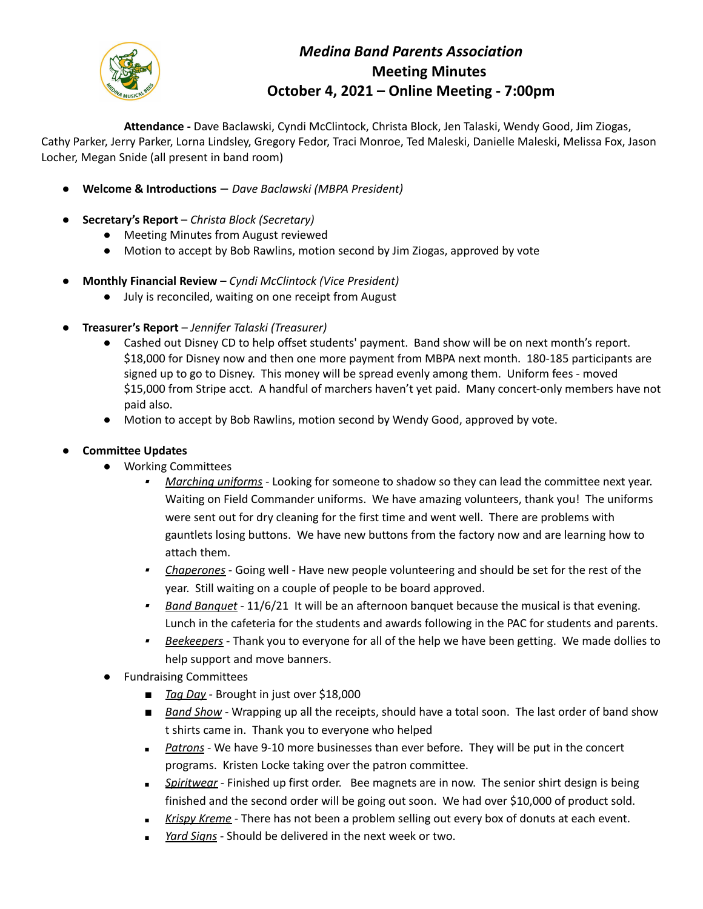

## *Medina Band Parents Association* **Meeting Minutes October 4, 2021 – Online Meeting - 7:00pm**

**Attendance -** Dave Baclawski, Cyndi McClintock, Christa Block, Jen Talaski, Wendy Good, Jim Ziogas, Cathy Parker, Jerry Parker, Lorna Lindsley, Gregory Fedor, Traci Monroe, Ted Maleski, Danielle Maleski, Melissa Fox, Jason Locher, Megan Snide (all present in band room)

- **Welcome & Introductions** *Dave Baclawski (MBPA President)*
- **Secretary's Report** *Christa Block (Secretary)*
	- Meeting Minutes from August reviewed
	- Motion to accept by Bob Rawlins, motion second by Jim Ziogas, approved by vote
- **Monthly Financial Review** *Cyndi McClintock (Vice President)*
	- July is reconciled, waiting on one receipt from August
- **Treasurer's Report** *Jennifer Talaski (Treasurer)*
	- Cashed out Disney CD to help offset students' payment. Band show will be on next month's report. \$18,000 for Disney now and then one more payment from MBPA next month. 180-185 participants are signed up to go to Disney. This money will be spread evenly among them. Uniform fees - moved \$15,000 from Stripe acct. A handful of marchers haven't yet paid. Many concert-only members have not paid also.
	- Motion to accept by Bob Rawlins, motion second by Wendy Good, approved by vote.
- **Committee Updates**
	- Working Committees
		- ▪ *Marching uniforms* - Looking for someone to shadow so they can lead the committee next year. Waiting on Field Commander uniforms. We have amazing volunteers, thank you! The uniforms were sent out for dry cleaning for the first time and went well. There are problems with gauntlets losing buttons. We have new buttons from the factory now and are learning how to attach them.
		- ▪ *Chaperones* - Going well - Have new people volunteering and should be set for the rest of the year. Still waiting on a couple of people to be board approved.
		- ▪ *Band Banquet* - 11/6/21 It will be an afternoon banquet because the musical is that evening. Lunch in the cafeteria for the students and awards following in the PAC for students and parents.
		- ▪ *Beekeepers* - Thank you to everyone for all of the help we have been getting. We made dollies to help support and move banners.
	- Fundraising Committees
		- *■ Tag Day* Brought in just over \$18,000
		- *Band Show* Wrapping up all the receipts, should have a total soon. The last order of band show t shirts came in. Thank you to everyone who helped
		- *Patrons* We have 9-10 more businesses than ever before. They will be put in the concert programs. Kristen Locke taking over the patron committee.
		- *■ Spiritwear* Finished up first order. Bee magnets are in now. The senior shirt design is being finished and the second order will be going out soon. We had over \$10,000 of product sold.
		- *Krispy Kreme* There has not been a problem selling out every box of donuts at each event.
		- *■ Yard Signs* Should be delivered in the next week or two.